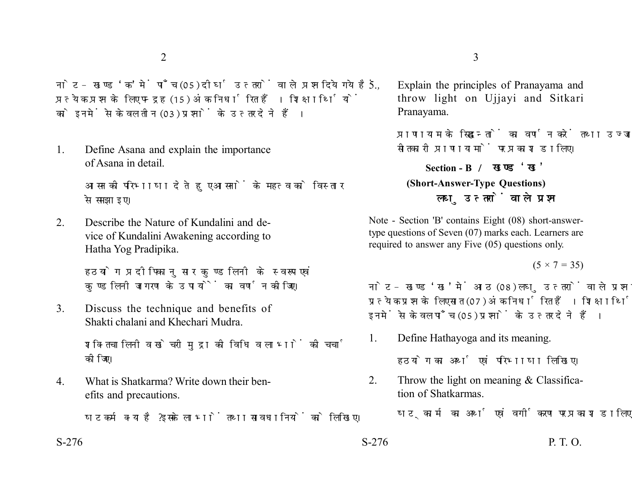नोट- खण्ड 'क' में पाँच (05) दीर्घ उत्तरों वाले प्रश्न दिये गये हैं. प्रत्येक प्रश्न के लिए पन्द्रह (15) अंक निर्धारित हैं। शिक्षार्थियों को इनमें से केवल तीन (03) प्रश्नों के उत्तर देने हैं।

1. Define Asana and explain the importance of Asana in detail.

> आसन की परिभाषा देते हुए आसनों के महत्व को विस्तार से समझाइए।

2. Describe the Nature of Kundalini and device of Kundalini Awakening according to Hatha Yog Pradipika.

> हठयोग प्रदीपिकानुसार कुण्डलिनी के स्वरूप एवं कण्डलिनी जागरण के उपायों का वर्णन कीजिए।

3. Discuss the technique and benefits of Shakti chalani and Khechari Mudra.

> शक्तिचालिनी व खेचरी मुद्रा की विधि व लाभों की चर्चा कोजिए।

4. What is Shatkarma? Write down their benefits and precautions.

षटकर्म क्या है ? इसके लाभों तथा सावधानियों को लिखिए।

- $2\overline{3}$ 
	- 5. Explain the principles of Pranayama and throw light on Ujjayi and Sitkari Pranayama.

प्राणायाम के सिद्धान्तों का वर्णन करें तथा उज्जायी एवं सीतकारी पाणायामों पर प्रकाश डालिए।

## **Section - B (Short-Answer-Type Questions)** लघ उत्तरों वाले प्रश्न

Note - Section 'B' contains Eight (08) short-answertype questions of Seven (07) marks each. Learners are required to answer any Five (05) questions only.

 $(5 \times 7 = 35)$ 

नोट- खण्ड 'ख' में आठ (08) लघु उत्तरों वाले प्रश्न दिये गये हैं, प्रत्येक प्रश्न के लिए सात (07) अंक निर्धारित हैं। शिक्षार्थियों को इनमें से केवल पाँच (05) प्रश्नों के उत्तर देने हैं।

1. Define Hathayoga and its meaning.

हठयोग का अर्थ एवं परिभाषा लिखिए।

2. Throw the light on meaning & Classification of Shatkarmas.

षटकार्म का अर्थ एवं वर्गीकरण पर प्रकाश डालिए।

 $S-276$  P. T. O.